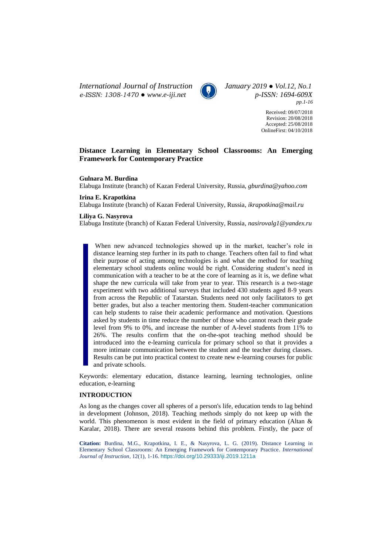*International Journal of Instruction January 2019 ● Vol.12, No.1 e-ISSN: 1308-1470 ● [www.e-iji.net](http://www.e-iji.net/) p-ISSN: 1694-609X*



*pp.1-16*

Received: 09/07/2018 Revision: 20/08/2018 Accepted: 25/08/2018 OnlineFirst: 04/10/2018

# **Distance Learning in Elementary School Classrooms: An Emerging Framework for Contemporary Practice**

#### **Gulnara M. Burdina**

Elabuga Institute (branch) of Kazan Federal University, Russia, *gburdina@yahoo.com*

# **Irina E. Krapotkina**

Elabuga Institute (branch) of Kazan Federal University, Russia, *ikrapotkina@mail.ru*

#### **Liliya G. Nasyrova**

Elabuga Institute (branch) of Kazan Federal University, Russia, *nasirovalg1@yandex.ru*

When new advanced technologies showed up in the market, teacher's role in distance learning step further in its path to change. Teachers often fail to find what their purpose of acting among technologies is and what the method for teaching elementary school students online would be right. Considering student's need in communication with a teacher to be at the core of learning as it is, we define what shape the new curricula will take from year to year. This research is a two-stage experiment with two additional surveys that included 430 students aged 8-9 years from across the Republic of Tatarstan. Students need not only facilitators to get better grades, but also a teacher mentoring them. Student-teacher communication can help students to raise their academic performance and motivation. Questions asked by students in time reduce the number of those who cannot reach their grade level from 9% to 0%, and increase the number of A-level students from 11% to 26%. The results confirm that the on-the-spot teaching method should be introduced into the e-learning curricula for primary school so that it provides a more intimate communication between the student and the teacher during classes. Results can be put into practical context to create new e-learning courses for public and private schools.

Keywords: elementary education, distance learning, learning technologies, online education, e-learning

#### **INTRODUCTION**

As long as the changes cover all spheres of a person's life, education tends to lag behind in development (Johnson, 2018). Teaching methods simply do not keep up with the world. This phenomenon is most evident in the field of primary education (Altan & Karalar, 2018). There are several reasons behind this problem. Firstly, the pace of

**Citation:** Burdina, M.G., Krapotkina, I. E., & Nasyrova, L. G. (2019). Distance Learning in Elementary School Classrooms: An Emerging Framework for Contemporary Practice. *International Journal of Instruction*, 12(1), 1-16. <https://doi.org/10.29333/iji.2019.1211a>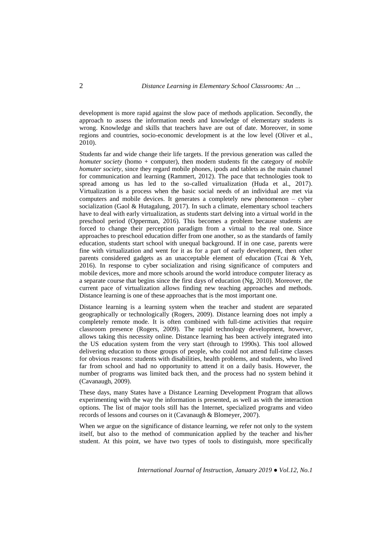development is more rapid against the slow pace of methods application. Secondly, the approach to assess the information needs and knowledge of elementary students is wrong. Knowledge and skills that teachers have are out of date. Moreover, in some regions and countries, socio-economic development is at the low level (Oliver et al., 2010).

Students far and wide change their life targets. If the previous generation was called the *homuter society* (homo + computer), then modern students fit the category of *mobile homuter society*, since they regard mobile phones, ipods and tablets as the main channel for communication and learning (Rammert, 2012). The pace that technologies took to spread among us has led to the so-called virtualization (Huda et al., 2017). Virtualization is a process when the basic social needs of an individual are met via computers and mobile devices. It generates a completely new phenomenon – cyber socialization (Gaol & Hutagalung, 2017). In such a climate, elementary school teachers have to deal with early virtualization, as students start delving into a virtual world in the preschool period (Opperman, 2016). This becomes a problem because students are forced to change their perception paradigm from a virtual to the real one. Since approaches to preschool education differ from one another, so as the standards of family education, students start school with unequal background. If in one case, parents were fine with virtualization and went for it as for a part of early development, then other parents considered gadgets as an unacceptable element of education (Tcai & Yeh, 2016). In response to cyber socialization and rising significance of computers and mobile devices, more and more schools around the world introduce computer literacy as a separate course that begins since the first days of education (Ng, 2010). Moreover, the current pace of virtualization allows finding new teaching approaches and methods. Distance learning is one of these approaches that is the most important one.

Distance learning is a learning system when the teacher and student are separated geographically or technologically (Rogers, 2009). Distance learning does not imply a completely remote mode. It is often combined with full-time activities that require classroom presence (Rogers, 2009). The rapid technology development, however, allows taking this necessity online. Distance learning has been actively integrated into the US education system from the very start (through to 1990s). This tool allowed delivering education to those groups of people, who could not attend full-time classes for obvious reasons: students with disabilities, health problems, and students, who lived far from school and had no opportunity to attend it on a daily basis. However, the number of programs was limited back then, and the process had no system behind it (Cavanaugh, 2009).

These days, many States have a Distance Learning Development Program that allows experimenting with the way the information is presented, as well as with the interaction options. The list of major tools still has the Internet, specialized programs and video records of lessons and courses on it (Cavanaugh & Blomeyer, 2007).

When we argue on the significance of distance learning, we refer not only to the system itself, but also to the method of communication applied by the teacher and his/her student. At this point, we have two types of tools to distinguish, more specifically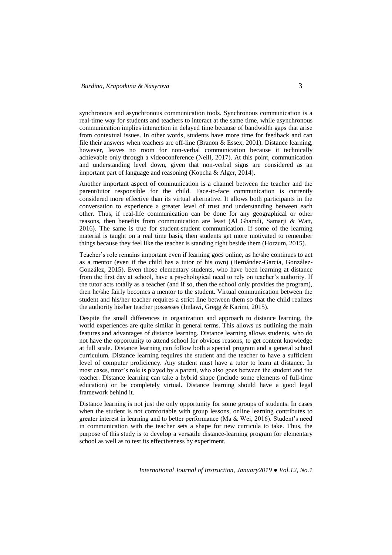synchronous and asynchronous communication tools. Synchronous communication is a real-time way for students and teachers to interact at the same time, while asynchronous communication implies interaction in delayed time because of bandwidth gaps that arise from contextual issues. In other words, students have more time for feedback and can file their answers when teachers are off-line (Branon & Essex, 2001). Distance learning, however, leaves no room for non-verbal communication because it technically achievable only through a videoconference (Neill, 2017). At this point, communication and understanding level down, given that non-verbal signs are considered as an important part of language and reasoning (Kopcha & Alger, 2014).

Another important aspect of communication is a channel between the teacher and the parent/tutor responsible for the child. Face-to-face communication is currently considered more effective than its virtual alternative. It allows both participants in the conversation to experience a greater level of trust and understanding between each other. Thus, if real-life communication can be done for any geographical or other reasons, then benefits from communication are least (Al Ghamdi, Samarji & Watt, 2016). The same is true for student-student communication. If some of the learning material is taught on a real time basis, then students get more motivated to remember things because they feel like the teacher is standing right beside them (Horzum, 2015).

Teacher's role remains important even if learning goes online, as he/she continues to act as a mentor (even if the child has a tutor of his own) (Hernández-García, González-González, 2015). Even those elementary students, who have been learning at distance from the first day at school, have a psychological need to rely on teacher's authority. If the tutor acts totally as a teacher (and if so, then the school only provides the program), then he/she fairly becomes a mentor to the student. Virtual communication between the student and his/her teacher requires a strict line between them so that the child realizes the authority his/her teacher possesses (Imlawi, Gregg & Karimi, 2015).

Despite the small differences in organization and approach to distance learning, the world experiences are quite similar in general terms. This allows us outlining the main features and advantages of distance learning. Distance learning allows students, who do not have the opportunity to attend school for obvious reasons, to get content knowledge at full scale. Distance learning can follow both a special program and a general school curriculum. Distance learning requires the student and the teacher to have a sufficient level of computer proficiency. Any student must have a tutor to learn at distance. In most cases, tutor's role is played by a parent, who also goes between the student and the teacher. Distance learning can take a hybrid shape (include some elements of full-time education) or be completely virtual. Distance learning should have a good legal framework behind it.

Distance learning is not just the only opportunity for some groups of students. In cases when the student is not comfortable with group lessons, online learning contributes to greater interest in learning and to better performance (Ma & Wei, 2016). Student's need in communication with the teacher sets a shape for new curricula to take. Thus, the purpose of this study is to develop a versatile distance-learning program for elementary school as well as to test its effectiveness by experiment.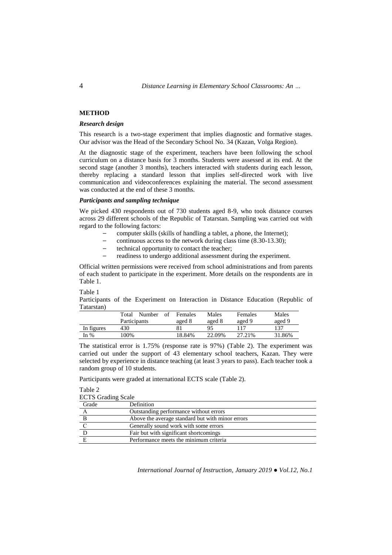## **METHOD**

#### *Research design*

This research is a two-stage experiment that implies diagnostic and formative stages. Our advisor was the Head of the Secondary School No. 34 (Kazan, Volga Region).

At the diagnostic stage of the experiment, teachers have been following the school curriculum on a distance basis for 3 months. Students were assessed at its end. At the second stage (another 3 months), teachers interacted with students during each lesson, thereby replacing a standard lesson that implies self-directed work with live communication and videoconferences explaining the material. The second assessment was conducted at the end of these 3 months.

#### *Participants and sampling technique*

We picked 430 respondents out of 730 students aged 8-9, who took distance courses across 29 different schools of the Republic of Tatarstan. Sampling was carried out with regard to the following factors:

- computer skills (skills of handling a tablet, a phone, the Internet);
- continuous access to the network during class time (8.30-13.30);
- technical opportunity to contact the teacher;
- readiness to undergo additional assessment during the experiment.

Official written permissions were received from school administrations and from parents of each student to participate in the experiment. More details on the respondents are in Table 1.

#### Table 1

Participants of the Experiment on Interaction in Distance Education (Republic of Tatarstan)

|            | Number<br>Total | of | Females | Males  | Females | Males  |
|------------|-----------------|----|---------|--------|---------|--------|
|            | Participants    |    | aged 8  | aged 8 | aged 9  | aged 9 |
| In figures | 430             |    |         |        |         | 137    |
| In %       | 00%             |    | 18.84%  | 22.09% | 27.21%  | 31.86% |

The statistical error is 1.75% (response rate is 97%) (Table 2). The experiment was carried out under the support of 43 elementary school teachers, Kazan. They were selected by experience in distance teaching (at least 3 years to pass). Each teacher took a random group of 10 students.

Participants were graded at international ECTS scale (Table 2).

Table 2

| <b>ECTS</b> Grading Scale                        |  |  |
|--------------------------------------------------|--|--|
| Definition                                       |  |  |
| Outstanding performance without errors           |  |  |
| Above the average standard but with minor errors |  |  |
| Generally sound work with some errors            |  |  |
| Fair but with significant shortcomings           |  |  |
| Performance meets the minimum criteria           |  |  |
|                                                  |  |  |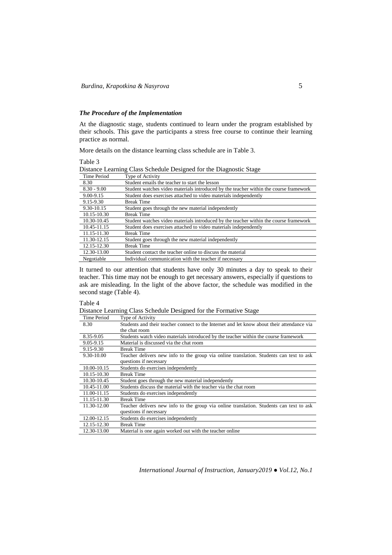## *The Procedure of the Implementation*

At the diagnostic stage, students continued to learn under the program established by their schools. This gave the participants a stress free course to continue their learning practice as normal.

More details on the distance learning class schedule are in Table 3.

Table 3

|                                                                                                                                                                                                                                |  | Distance Learning Class Schedule Designed for the Diagnostic Stage |
|--------------------------------------------------------------------------------------------------------------------------------------------------------------------------------------------------------------------------------|--|--------------------------------------------------------------------|
| ment in the contract of the contract of the contract of the contract of the contract of the contract of the contract of the contract of the contract of the contract of the contract of the contract of the contract of the co |  |                                                                    |

| Time Period   | Type of Activity                                                                      |
|---------------|---------------------------------------------------------------------------------------|
| 8.30          | Student emails the teacher to start the lesson                                        |
| $8.30 - 9.00$ | Student watches video materials introduced by the teacher within the course framework |
| 9.00-9.15     | Student does exercises attached to video materials independently                      |
| 9.15-9.30     | <b>Break Time</b>                                                                     |
| 9.30-10.15    | Student goes through the new material independently                                   |
| 10.15-10.30   | <b>Break Time</b>                                                                     |
| 10.30-10.45   | Student watches video materials introduced by the teacher within the course framework |
| 10.45-11.15   | Student does exercises attached to video materials independently                      |
| 11.15-11.30   | <b>Break Time</b>                                                                     |
| 11.30-12.15   | Student goes through the new material independently                                   |
| 12.15-12.30   | <b>Break Time</b>                                                                     |
| 12.30-13.00   | Student contact the teacher online to discuss the material                            |
| Negotiable    | Individual communication with the teacher if necessary                                |

It turned to our attention that students have only 30 minutes a day to speak to their teacher. This time may not be enough to get necessary answers, especially if questions to ask are misleading. In the light of the above factor, the schedule was modified in the second stage (Table 4).

Table 4

Distance Learning Class Schedule Designed for the Formative Stage

| <b>Time Period</b> | Type of Activity                                                                           |
|--------------------|--------------------------------------------------------------------------------------------|
| 8.30               | Students and their teacher connect to the Internet and let know about their attendance via |
|                    | the chat room                                                                              |
| 8.35-9.05          | Students watch video materials introduced by the teacher within the course framework       |
| 9.05-9.15          | Material is discussed via the chat room                                                    |
| 9.15-9.30          | <b>Break Time</b>                                                                          |
| 9.30-10.00         | Teacher delivers new info to the group via online translation. Students can text to ask    |
|                    | questions if necessary                                                                     |
| 10.00-10.15        | Students do exercises independently                                                        |
| 10.15-10.30        | <b>Break Time</b>                                                                          |
| 10.30-10.45        | Student goes through the new material independently                                        |
| 10.45-11.00        | Students discuss the material with the teacher via the chat room                           |
| 11.00-11.15        | Students do exercises independently                                                        |
| 11.15-11.30        | <b>Break Time</b>                                                                          |
| 11.30-12.00        | Teacher delivers new info to the group via online translation. Students can text to ask    |
|                    | questions if necessary                                                                     |
| 12.00-12.15        | Students do exercises independently                                                        |
| 12.15-12.30        | <b>Break Time</b>                                                                          |
| 12.30-13.00        | Material is one again worked out with the teacher online                                   |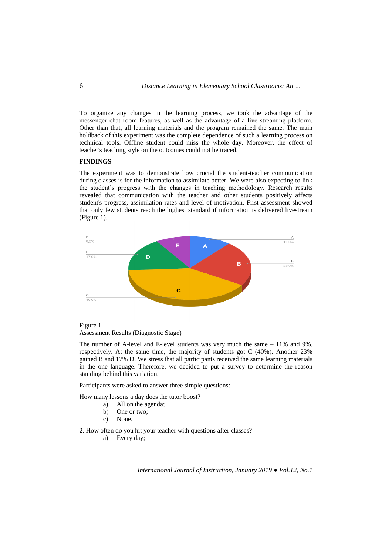To organize any changes in the learning process, we took the advantage of the messenger chat room features, as well as the advantage of a live streaming platform. Other than that, all learning materials and the program remained the same. The main holdback of this experiment was the complete dependence of such a learning process on technical tools. Offline student could miss the whole day. Moreover, the effect of teacher's teaching style on the outcomes could not be traced.

# **FINDINGS**

The experiment was to demonstrate how crucial the student-teacher communication during classes is for the information to assimilate better. We were also expecting to link the student's progress with the changes in teaching methodology. Research results revealed that communication with the teacher and other students positively affects student's progress, assimilation rates and level of motivation. First assessment showed that only few students reach the highest standard if information is delivered livestream (Figure 1).





The number of A-level and E-level students was very much the same  $-11\%$  and 9%, respectively. At the same time, the majority of students got C (40%). Another 23% gained B and 17% D. We stress that all participants received the same learning materials in the one language. Therefore, we decided to put a survey to determine the reason standing behind this variation.

Participants were asked to answer three simple questions:

How many lessons a day does the tutor boost?

- a) All on the agenda;
- b) One or two;
- c) None.

2. How often do you hit your teacher with questions after classes?

a) Every day;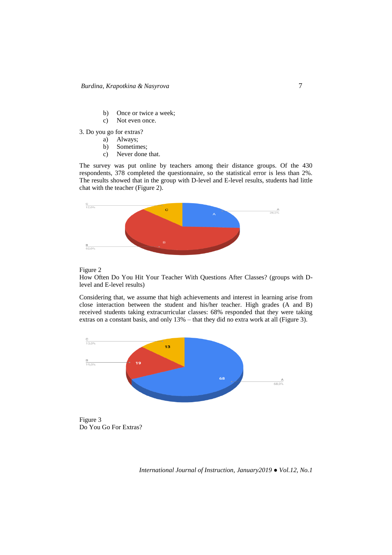- b) Once or twice a week;
- c) Not even once.

3. Do you go for extras?

- a) Always;
- b) Sometimes;
- c) Never done that.

The survey was put online by teachers among their distance groups. Of the 430 respondents, 378 completed the questionnaire, so the statistical error is less than 2%. The results showed that in the group with D-level and E-level results, students had little chat with the teacher (Figure 2).



## Figure 2

How Often Do You Hit Your Teacher With Questions After Classes? (groups with Dlevel and E-level results)

Considering that, we assume that high achievements and interest in learning arise from close interaction between the student and his/her teacher. High grades (A and B) received students taking extracurricular classes: 68% responded that they were taking extras on a constant basis, and only 13% – that they did no extra work at all (Figure 3).



Figure 3 Do You Go For Extras?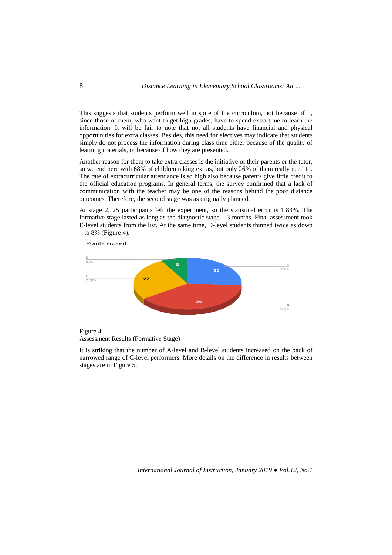This suggests that students perform well in spite of the curriculum, not because of it, since those of them, who want to get high grades, have to spend extra time to learn the information. It will be fair to note that not all students have financial and physical opportunities for extra classes. Besides, this need for electives may indicate that students simply do not process the information during class time either because of the quality of learning materials, or because of how they are presented.

Another reason for them to take extra classes is the initiative of their parents or the tutor, so we end here with 68% of children taking extras, but only 26% of them really need to. The rate of extracurricular attendance is so high also because parents give little credit to the official education programs. In general terms, the survey confirmed that a lack of communication with the teacher may be one of the reasons behind the poor distance outcomes. Therefore, the second stage was as originally planned.

At stage 2, 25 participants left the experiment, so the statistical error is 1.83%. The formative stage lasted as long as the diagnostic stage  $-3$  months. Final assessment took E-level students from the list. At the same time, D-level students thinned twice as down  $-$  to 8% (Figure 4).



Points scored

Figure 4 Assessment Results (Formative Stage)

It is striking that the number of A-level and B-level students increased on the back of narrowed range of C-level performers. More details on the difference in results between stages are in Figure 5.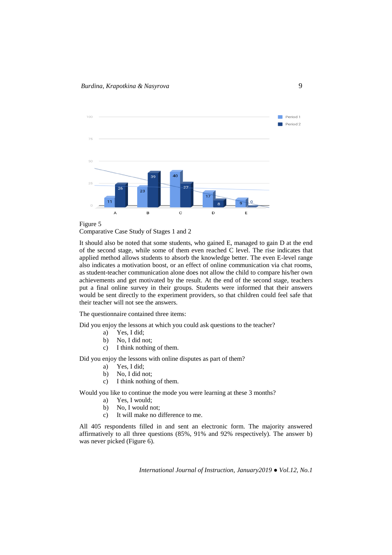



Comparative Case Study of Stages 1 and 2

It should also be noted that some students, who gained E, managed to gain D at the end of the second stage, while some of them even reached C level. The rise indicates that applied method allows students to absorb the knowledge better. The even E-level range also indicates a motivation boost, or an effect of online communication via chat rooms, as student-teacher communication alone does not allow the child to compare his/her own achievements and get motivated by the result. At the end of the second stage, teachers put a final online survey in their groups. Students were informed that their answers would be sent directly to the experiment providers, so that children could feel safe that their teacher will not see the answers.

The questionnaire contained three items:

Did you enjoy the lessons at which you could ask questions to the teacher?

- a) Yes, I did;
- b) No, I did not;
- c) I think nothing of them.

Did you enjoy the lessons with online disputes as part of them?

- a) Yes, I did;
- b) No, I did not;
- c) I think nothing of them.

Would you like to continue the mode you were learning at these 3 months?

- a) Yes, I would;
- b) No, I would not;
- c) It will make no difference to me.

All 405 respondents filled in and sent an electronic form. The majority answered affirmatively to all three questions (85%, 91% and 92% respectively). The answer b) was never picked (Figure 6).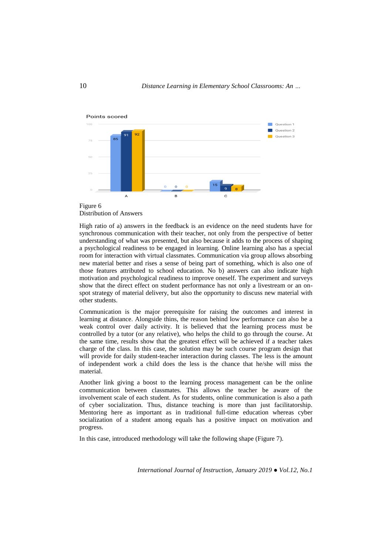



High ratio of a) answers in the feedback is an evidence on the need students have for synchronous communication with their teacher, not only from the perspective of better understanding of what was presented, but also because it adds to the process of shaping a psychological readiness to be engaged in learning. Online learning also has a special room for interaction with virtual classmates. Communication via group allows absorbing new material better and rises a sense of being part of something, which is also one of those features attributed to school education. No b) answers can also indicate high motivation and psychological readiness to improve oneself. The experiment and surveys show that the direct effect on student performance has not only a livestream or an onspot strategy of material delivery, but also the opportunity to discuss new material with other students.

Communication is the major prerequisite for raising the outcomes and interest in learning at distance. Alongside thins, the reason behind low performance can also be a weak control over daily activity. It is believed that the learning process must be controlled by a tutor (or any relative), who helps the child to go through the course. At the same time, results show that the greatest effect will be achieved if a teacher takes charge of the class. In this case, the solution may be such course program design that will provide for daily student-teacher interaction during classes. The less is the amount of independent work a child does the less is the chance that he/she will miss the material.

Another link giving a boost to the learning process management can be the online communication between classmates. This allows the teacher be aware of the involvement scale of each student. As for students, online communication is also a path of cyber socialization. Thus, distance teaching is more than just facilitatorship. Mentoring here as important as in traditional full-time education whereas cyber socialization of a student among equals has a positive impact on motivation and progress.

In this case, introduced methodology will take the following shape (Figure 7).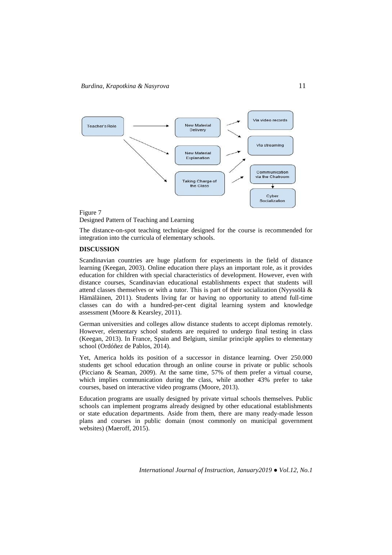

# Figure 7

Designed Pattern of Teaching and Learning

The distance-on-spot teaching technique designed for the course is recommended for integration into the curricula of elementary schools.

## **DISCUSSION**

Scandinavian countries are huge platform for experiments in the field of distance learning (Keegan, 2003). Online education there plays an important role, as it provides education for children with special characteristics of development. However, even with distance courses, Scandinavian educational establishments expect that students will attend classes themselves or with a tutor. This is part of their socialization (Nyyssölä  $\&$ Hämäläinen, 2011). Students living far or having no opportunity to attend full-time classes can do with a hundred-per-cent digital learning system and knowledge assessment (Moore & Kearsley, 2011).

German universities and colleges allow distance students to accept diplomas remotely. However, elementary school students are required to undergo final testing in class (Keegan, 2013). In France, Spain and Belgium, similar principle applies to elementary school (Ordóñez de Pablos, 2014).

Yet, America holds its position of a successor in distance learning. Over 250.000 students get school education through an online course in private or public schools (Picciano & Seaman, 2009). At the same time, 57% of them prefer a virtual course, which implies communication during the class, while another 43% prefer to take courses, based on interactive video programs (Moore, 2013).

Education programs are usually designed by private virtual schools themselves. Public schools can implement programs already designed by other educational establishments or state education departments. Aside from them, there are many ready-made lesson plans and courses in public domain (most commonly on municipal government websites) (Maeroff, 2015).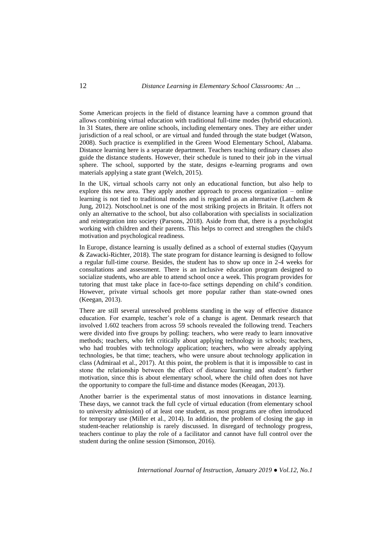Some American projects in the field of distance learning have a common ground that allows combining virtual education with traditional full-time modes (hybrid education). In 31 States, there are online schools, including elementary ones. They are either under jurisdiction of a real school, or are virtual and funded through the state budget (Watson, 2008). Such practice is exemplified in the Green Wood Elementary School, Alabama. Distance learning here is a separate department. Teachers teaching ordinary classes also guide the distance students. However, their schedule is tuned to their job in the virtual sphere. The school, supported by the state, designs e-learning programs and own materials applying a state grant (Welch, 2015).

In the UK, virtual schools carry not only an educational function, but also help to explore this new area. They apply another approach to process organization – online learning is not tied to traditional modes and is regarded as an alternative (Latchem & Jung, 2012). Notschool.net is one of the most striking projects in Britain. It offers not only an alternative to the school, but also collaboration with specialists in socialization and reintegration into society (Parsons, 2018). Aside from that, there is a psychologist working with children and their parents. This helps to correct and strengthen the child's motivation and psychological readiness.

In Europe, distance learning is usually defined as a school of external studies (Qayyum & Zawacki-Richter, 2018). The state program for distance learning is designed to follow a regular full-time course. Besides, the student has to show up once in 2-4 weeks for consultations and assessment. There is an inclusive education program designed to socialize students, who are able to attend school once a week. This program provides for tutoring that must take place in face-to-face settings depending on child's condition. However, private virtual schools get more popular rather than state-owned ones (Keegan, 2013).

There are still several unresolved problems standing in the way of effective distance education. For example, teacher's role of a change is agent. Denmark research that involved 1.602 teachers from across 59 schools revealed the following trend. Teachers were divided into five groups by polling: teachers, who were ready to learn innovative methods; teachers, who felt critically about applying technology in schools; teachers, who had troubles with technology application; teachers, who were already applying technologies, be that time; teachers, who were unsure about technology application in class (Admiraal et al., 2017). At this point, the problem is that it is impossible to cast in stone the relationship between the effect of distance learning and student's further motivation, since this is about elementary school, where the child often does not have the opportunity to compare the full-time and distance modes (Keeagan, 2013).

Another barrier is the experimental status of most innovations in distance learning. These days, we cannot track the full cycle of virtual education (from elementary school to university admission) of at least one student, as most programs are often introduced for temporary use (Miller et al., 2014). In addition, the problem of closing the gap in student-teacher relationship is rarely discussed. In disregard of technology progress, teachers continue to play the role of a facilitator and cannot have full control over the student during the online session (Simonson, 2016).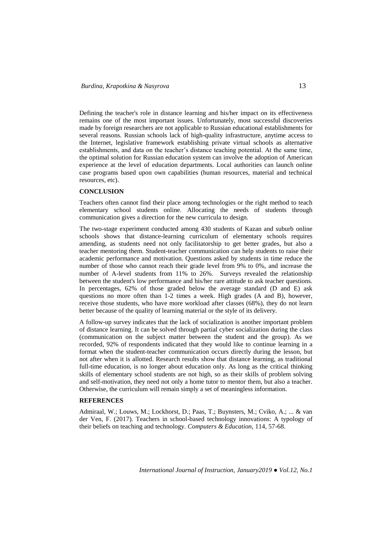Defining the teacher's role in distance learning and his/her impact on its effectiveness remains one of the most important issues. Unfortunately, most successful discoveries made by foreign researchers are not applicable to Russian educational establishments for several reasons. Russian schools lack of high-quality infrastructure, anytime access to the Internet, legislative framework establishing private virtual schools as alternative establishments, and data on the teacher's distance teaching potential. At the same time, the optimal solution for Russian education system can involve the adoption of American experience at the level of education departments. Local authorities can launch online case programs based upon own capabilities (human resources, material and technical resources, etc).

#### **CONCLUSION**

Teachers often cannot find their place among technologies or the right method to teach elementary school students online. Allocating the needs of students through communication gives a direction for the new curricula to design.

The two-stage experiment conducted among 430 students of Kazan and suburb online schools shows that distance-learning curriculum of elementary schools requires amending, as students need not only facilitatorship to get better grades, but also a teacher mentoring them. Student-teacher communication can help students to raise their academic performance and motivation. Questions asked by students in time reduce the number of those who cannot reach their grade level from 9% to 0%, and increase the number of A-level students from 11% to 26%. Surveys revealed the relationship between the student's low performance and his/her rare attitude to ask teacher questions. In percentages, 62% of those graded below the average standard (D and E) ask questions no more often than 1-2 times a week. High grades (A and B), however, receive those students, who have more workload after classes (68%), they do not learn better because of the quality of learning material or the style of its delivery.

A follow-up survey indicates that the lack of socialization is another important problem of distance learning. It can be solved through partial cyber socialization during the class (communication on the subject matter between the student and the group). As we recorded, 92% of respondents indicated that they would like to continue learning in a format when the student-teacher communication occurs directly during the lesson, but not after when it is allotted. Research results show that distance learning, as traditional full-time education, is no longer about education only. As long as the critical thinking skills of elementary school students are not high, so as their skills of problem solving and self-motivation, they need not only a home tutor to mentor them, but also a teacher. Otherwise, the curriculum will remain simply a set of meaningless information.

### **REFERENCES**

Admiraal, W.; Louws, M.; Lockhorst, D.; Paas, T.; Buynsters, M.; Cviko, A.; ... & van der Ven, F. (2017). Teachers in school-based technology innovations: A typology of their beliefs on teaching and technology. *Computers & Education,* 114, 57-68.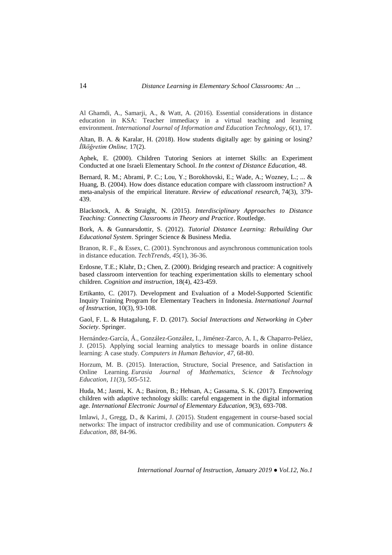Al Ghamdi, A., Samarji, A., & Watt, A. (2016). Essential considerations in distance education in KSA: Teacher immediacy in a virtual teaching and learning environment. *International Journal of Information and Education Technology*, *6*(1), 17.

Altan, B. A. & Karalar, H. (2018). How students digitally age: by gaining or losing? *İlköğretim Online,* 17(2).

Aphek, E. (2000). Children Tutoring Seniors at internet Skills: an Experiment Conducted at one Israeli Elementary School. *In the context of Distance Education,* 48.

Bernard, R. M.; Abrami, P. C.; Lou, Y.; Borokhovski, E.; Wade, A.; Wozney, L.; ... & Huang, B. (2004). How does distance education compare with classroom instruction? A meta-analysis of the empirical literature. *Review of educational research,* 74(3), 379- 439.

Blackstock, A. & Straight, N. (2015). *Interdisciplinary Approaches to Distance Teaching: Connecting Classrooms in Theory and Practice*. Routledge.

Bork, A. & Gunnarsdottir, S. (2012). *Tutorial Distance Learning: Rebuilding Our Educational System*. Springer Science & Business Media.

Branon, R. F., & Essex, C. (2001). Synchronous and asynchronous communication tools in distance education. *TechTrends*, *45*(1), 36-36.

Erdosne, T.E.; Klahr, D.; Chen, Z. (2000). Bridging research and practice: A cognitively based classroom intervention for teaching experimentation skills to elementary school children. *Cognition and instruction,* 18(4), 423-459.

Ertikanto, C. (2017). Development and Evaluation of a Model-Supported Scientific Inquiry Training Program for Elementary Teachers in Indonesia. *International Journal of Instruction,* 10(3), 93-108.

Gaol, F. L. & Hutagalung, F. D. (2017). *Social Interactions and Networking in Cyber Society*. Springer.

Hernández-García, Á., González-González, I., Jiménez-Zarco, A. I., & Chaparro-Peláez, J. (2015). Applying social learning analytics to message boards in online distance learning: A case study. *Computers in Human Behavior*, *47*, 68-80.

Horzum, M. B. (2015). Interaction, Structure, Social Presence, and Satisfaction in Online Learning. *Eurasia Journal of Mathematics, Science & Technology Education*, *11*(3), 505-512.

Huda, M.; Jasmi, K. A.; Basiron, B.; Hehsan, A.; Gassama, S. K. (2017). Empowering children with adaptive technology skills: careful engagement in the digital information age. *International Electronic Journal of Elementary Education, 9*(3), 693-708.

Imlawi, J., Gregg, D., & Karimi, J. (2015). Student engagement in course-based social networks: The impact of instructor credibility and use of communication. *Computers & Education*, *88*, 84-96.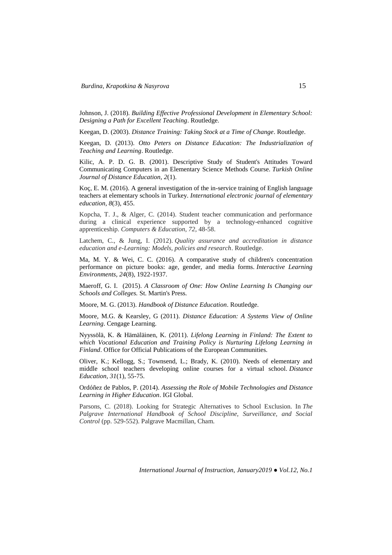Johnson, J. (2018). *Building Effective Professional Development in Elementary School: Designing a Path for Excellent Teaching*. Routledge.

[Keegan,](https://www.google.com.ua/search?hl=ru&tbo=p&tbm=bks&q=inauthor:%22Desmond+Keegan%22) D. (2003). *Distance Training: Taking Stock at a Time of Change*. Routledge.

Keegan, D. (2013). *Otto Peters on Distance Education: The Industrialization of Teaching and Learning*. Routledge.

Kilic, A. P. D. G. B. (2001). Descriptive Study of Student's Attitudes Toward Communicating Computers in an Elementary Science Methods Course. *Turkish Online Journal of Distance Education, 2*(1).

Koç, E. M. (2016). A general investigation of the in-service training of English language teachers at elementary schools in Turkey. *International electronic journal of elementary education, 8*(3), 455.

Kopcha, T. J., & Alger, C. (2014). Student teacher communication and performance during a clinical experience supported by a technology-enhanced cognitive apprenticeship. *Computers & Education*, *72*, 48-58.

Latchem, C., & Jung, I. (2012). *Quality assurance and accreditation in distance education and e-Learning: Models, policies and research*. Routledge.

Ma, M. Y. & Wei, C. C. (2016). A comparative study of children's concentration performance on picture books: age, gender, and media forms. *Interactive Learning Environments, 24*(8), 1922-1937.

Maeroff, [G. I.](https://www.google.com.ua/search?hl=ru&tbo=p&tbm=bks&q=inauthor:%22Gene+I.+Maeroff%22) (2015). *A Classroom of One: How Online Learning Is Changing our Schools and Colleges.* St. Martin's Press.

Moore, M. G. (2013). *Handbook of Distance Education*. Routledge.

[Moore,](https://www.google.com.ua/search?hl=ru&tbo=p&tbm=bks&q=inauthor:%22Michael+G.+Moore%22) M.G. & [Kearsley,](https://www.google.com.ua/search?hl=ru&tbo=p&tbm=bks&q=inauthor:%22Greg+Kearsley%22) G (2011). *Distance Education: A Systems View of Online Learning*. Cengage Learning.

Nyyssölä, K. & Hämäläinen, K. (2011). *Lifelong Learning in Finland: The Extent to which Vocational Education and Training Policy is Nurturing Lifelong Learning in*  **Finland**. Office for Official Publications of the European Communities.

Oliver, K.; Kellogg, S.; Townsend, L.; Brady, K. (2010). Needs of elementary and middle school teachers developing online courses for a virtual school. *Distance Education, 31*(1), 55-75.

Ordóñez de Pablos, P. (2014). *Assessing the Role of Mobile Technologies and Distance Learning in Higher Education*. IGI Global.

Parsons, C. (2018). Looking for Strategic Alternatives to School Exclusion. In *The Palgrave International Handbook of School Discipline, Surveillance, and Social Control* (pp. 529-552). Palgrave Macmillan, Cham.